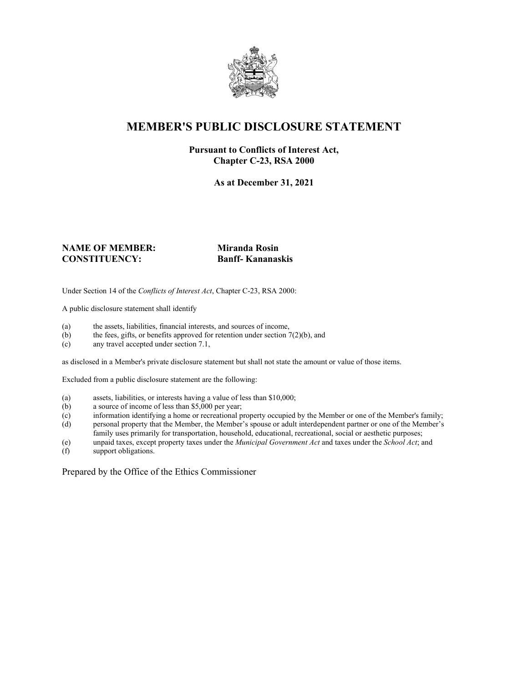

# **MEMBER'S PUBLIC DISCLOSURE STATEMENT**

### **Pursuant to Conflicts of Interest Act, Chapter C-23, RSA 2000**

**As at December 31, 2021**

### **NAME OF MEMBER: Miranda Rosin CONSTITUENCY: Banff- Kananaskis**

Under Section 14 of the *Conflicts of Interest Act*, Chapter C-23, RSA 2000:

A public disclosure statement shall identify

- (a) the assets, liabilities, financial interests, and sources of income,  $(b)$  the fees, gifts, or benefits approved for retention under section 7
- the fees, gifts, or benefits approved for retention under section  $7(2)(b)$ , and
- (c) any travel accepted under section 7.1,

as disclosed in a Member's private disclosure statement but shall not state the amount or value of those items.

Excluded from a public disclosure statement are the following:

- (a) assets, liabilities, or interests having a value of less than \$10,000;
- (b) a source of income of less than \$5,000 per year;
- (c) information identifying a home or recreational property occupied by the Member or one of the Member's family;
- (d) personal property that the Member, the Member's spouse or adult interdependent partner or one of the Member's family uses primarily for transportation, household, educational, recreational, social or aesthetic purposes;
- (e) unpaid taxes, except property taxes under the *Municipal Government Act* and taxes under the *School Act*; and
- (f) support obligations.

Prepared by the Office of the Ethics Commissioner